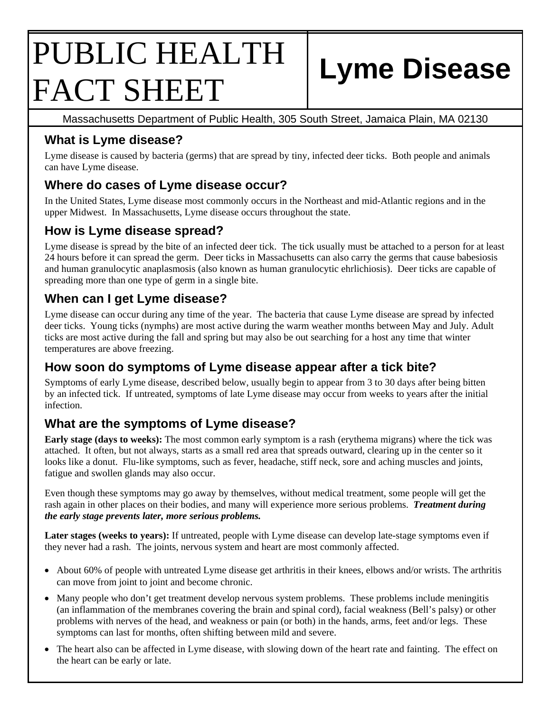# PUBLIC HEALTH FACT SHEET **Lyme Disease**

Massachusetts Department of Public Health, 305 South Street, Jamaica Plain, MA 02130

# **What is Lyme disease?**

Lyme disease is caused by bacteria (germs) that are spread by tiny, infected deer ticks. Both people and animals can have Lyme disease.

# **Where do cases of Lyme disease occur?**

In the United States, Lyme disease most commonly occurs in the Northeast and mid-Atlantic regions and in the upper Midwest. In Massachusetts, Lyme disease occurs throughout the state.

# **How is Lyme disease spread?**

Lyme disease is spread by the bite of an infected deer tick. The tick usually must be attached to a person for at least 24 hours before it can spread the germ. Deer ticks in Massachusetts can also carry the germs that cause babesiosis and human granulocytic anaplasmosis (also known as human granulocytic ehrlichiosis). Deer ticks are capable of spreading more than one type of germ in a single bite.

### **When can I get Lyme disease?**

Lyme disease can occur during any time of the year. The bacteria that cause Lyme disease are spread by infected deer ticks. Young ticks (nymphs) are most active during the warm weather months between May and July. Adult ticks are most active during the fall and spring but may also be out searching for a host any time that winter temperatures are above freezing.

## **How soon do symptoms of Lyme disease appear after a tick bite?**

Symptoms of early Lyme disease, described below, usually begin to appear from 3 to 30 days after being bitten by an infected tick. If untreated, symptoms of late Lyme disease may occur from weeks to years after the initial infection.

# **What are the symptoms of Lyme disease?**

**Early stage (days to weeks):** The most common early symptom is a rash (erythema migrans) where the tick was attached. It often, but not always, starts as a small red area that spreads outward, clearing up in the center so it looks like a donut. Flu-like symptoms, such as fever, headache, stiff neck, sore and aching muscles and joints, fatigue and swollen glands may also occur.

Even though these symptoms may go away by themselves, without medical treatment, some people will get the rash again in other places on their bodies, and many will experience more serious problems. *Treatment during the early stage prevents later, more serious problems.* 

**Later stages (weeks to years):** If untreated, people with Lyme disease can develop late-stage symptoms even if they never had a rash. The joints, nervous system and heart are most commonly affected.

- About 60% of people with untreated Lyme disease get arthritis in their knees, elbows and/or wrists. The arthritis can move from joint to joint and become chronic.
- Many people who don't get treatment develop nervous system problems. These problems include meningitis (an inflammation of the membranes covering the brain and spinal cord), facial weakness (Bell's palsy) or other problems with nerves of the head, and weakness or pain (or both) in the hands, arms, feet and/or legs. These symptoms can last for months, often shifting between mild and severe.
- The heart also can be affected in Lyme disease, with slowing down of the heart rate and fainting. The effect on the heart can be early or late.